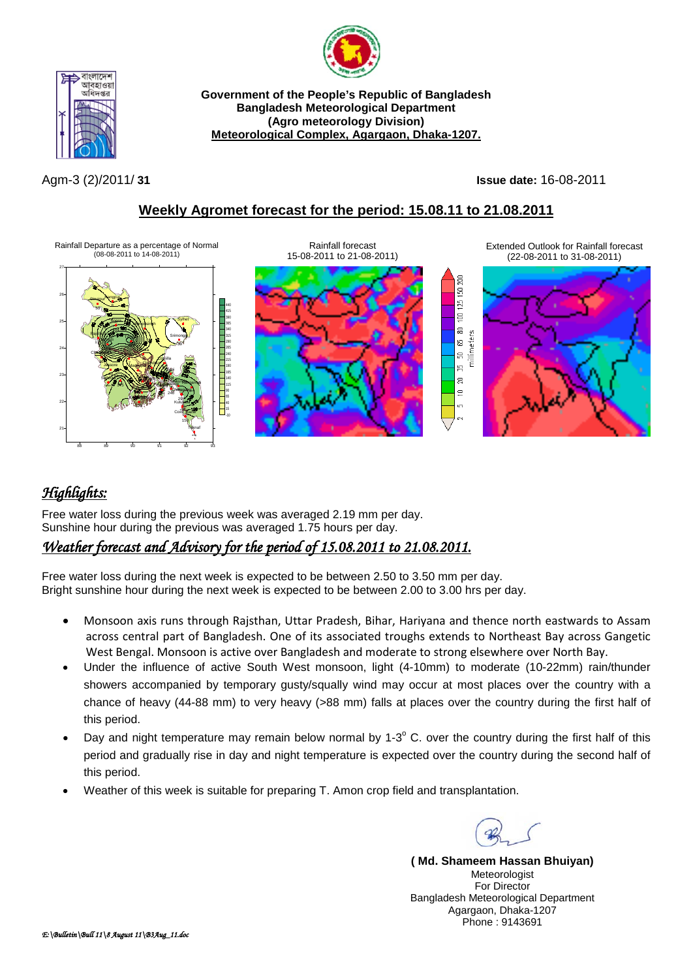



**Government of the People's Republic of Bangladesh Bangladesh Meteorological Department (Agro meteorology Division) Meteorological Complex, Agargaon, Dhaka-1207.**

Agm-3 (2)/2011/ **31 Issue date:** 16-08-2011

200  $\overline{50}$  $125$  $\overline{8}$  $\Xi$ millimeters g,  $\Xi$ 呉  $\Xi$  $\equiv$ 

### **Weekly Agromet forecast for the period: 15.08.11 to 21.08.2011**

Rainfall Departure as a percentage of Normal (08-08-2011 to 14-08-2011)





Extended Outlook for Rainfall forecast (22-08-2011 to 31-08-2011)



# *Highlights:*

Free water loss during the previous week was averaged 2.19 mm per day. Sunshine hour during the previous was averaged 1.75 hours per day.

# *Weather forecast and Advisory for the period of 15.08.2011 to 21.08.2011.*

Free water loss during the next week is expected to be between 2.50 to 3.50 mm per day. Bright sunshine hour during the next week is expected to be between 2.00 to 3.00 hrs per day.

- Monsoon axis runs through Rajsthan, Uttar Pradesh, Bihar, Hariyana and thence north eastwards to Assam across central part of Bangladesh. One of its associated troughs extends to Northeast Bay across Gangetic West Bengal. Monsoon is active over Bangladesh and moderate to strong elsewhere over North Bay.
- Under the influence of active South West monsoon, light (4-10mm) to moderate (10-22mm) rain/thunder showers accompanied by temporary gusty/squally wind may occur at most places over the country with a chance of heavy (44-88 mm) to very heavy (>88 mm) falls at places over the country during the first half of this period.
- Day and night temperature may remain below normal by  $1-3^\circ$  C. over the country during the first half of this period and gradually rise in day and night temperature is expected over the country during the second half of this period.
- Weather of this week is suitable for preparing T. Amon crop field and transplantation.

**( Md. Shameem Hassan Bhuiyan)** Meteorologist For Director Bangladesh Meteorological Department Agargaon, Dhaka-1207 Phone : 9143691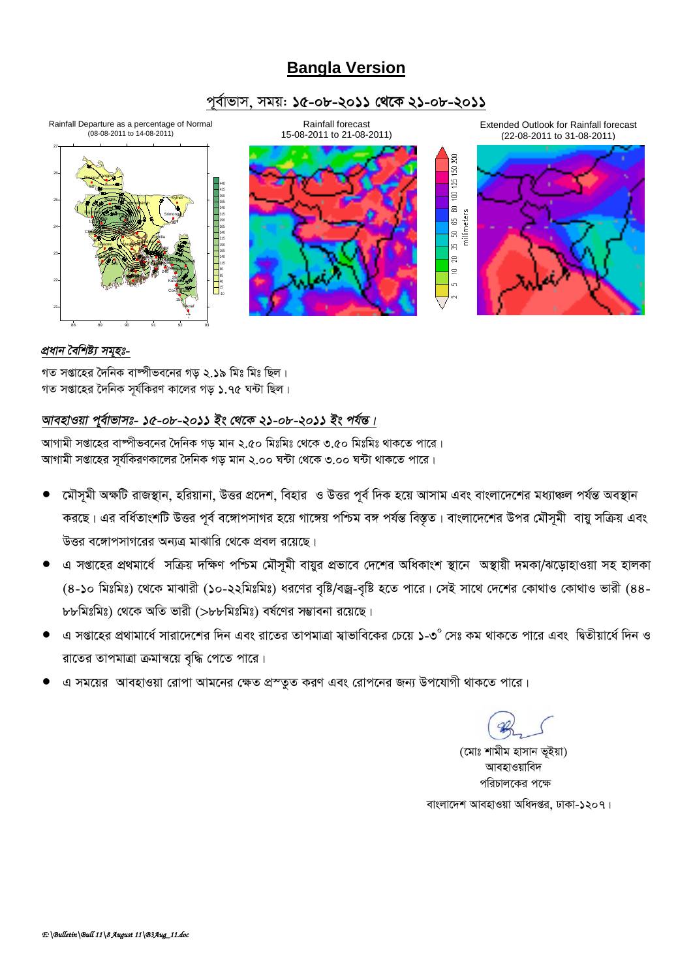## **Bangla Version**

### *c~e©vfvm, mgq: 15-08-2011 †\_‡K 21-08-2011*

Rainfall Departure as a percentage of Normal (08-08-2011 to 14-08-2011)





Extended Outlook for Rainfall forecast (22-08-2011 to 31-08-2011)



### *প্ৰধান বৈশিষ্ট্য সমৃহঃ-*

গত সপ্তাহের দৈনিক বাষ্পীভবনের গড় ২.**১**৯ মিঃ মিঃ ছিল। গত সপ্তাহের দৈনিক সর্যকিরণ কালের গড় ১.৭৫ ঘন্টা ছিল।

### *আবহাওয়া পূৰ্বাভাসঃ- ১৫-০৮-২০১১ ইং থেকে ২১-০৮-২০১১ ইং পৰ্যন্ত।*

*AvMvgx mßv‡ni ev®úxfe‡bi ˆ`wbK Mo gvb 2.50 wgtwgt †\_‡K 3.50 wgtwgt \_vK‡Z cv‡i| প্*যাগামী সপ্তাহের সূর্যকিরণকালের দৈনিক গড় মান ২.০০ ঘন্টা থেকে ৩.০০ ঘন্টা থাকতে পারে।

- *মৌসূ*মী অক্ষটি রাজস্থান, হরিয়ানা, উত্তর প্রদেশ, বিহার ও উত্তর পূর্ব দিক হয়ে আসাম এবং বাংলাদেশের মধ্যাঞ্চল পর্যন্ত অবস্থান করছে। এর বর্ধিতাংশটি উত্তর পূর্ব বঙ্গোপসাগর হয়ে গাঙ্গেয় পশ্চিম বঙ্গ পর্যন্ত বিস্তৃত। বাংলাদেশের উপর মৌসমী বায়ু সক্রিয় এবং  $\bar{c}$ ন্তর বঙ্গোপসাগরের অন্যত্র মাঝারি থেকে প্রবল রয়েছে।
- এ সপ্তাহের প্রথমার্ধে সক্রিয় দক্ষিণ পশ্চিম মৌসূমী বায়ুর প্রভাবে দেশের অধিকাংশ স্থানে অস্থায়ী দমকা/ঝড়োহাওয়া সহ হালকা  $(8$ -১০ মিঃমিঃ) থেকে মাঝারী (১০-২২মিঃমিঃ) ধরণের বৃষ্টি/বজ্র-বৃষ্টি হতে পারে। সেই সাথে দেশের কোথাও কোথাও ভারী (88-*৮৮*মিঃমিঃ) থেকে অতি ভারী (>৮৮মিঃমিঃ) বর্ষণের সম্ভাবনা রয়েছে।
- *G mßv‡ni cÖ\_vgv‡a© mviv‡`‡ki w`b Ges iv‡Zi ZvcgvÎv m¦vfvwe‡Ki †P‡q 1-30 †mt Kg \_vK‡Z cv‡i Ges wØZxqv‡a© w`b I রাতের তাপমাত্রা ক্রমান্বয়ে বৃদ্ধি পেতে পারে।*
- *G mg‡qi AvenvIqv †ivcv Avg‡bi †ÿZ cÖ¯ZzZ KiY Ges †ivc‡bi Rb¨ Dc‡hvMx \_vK‡Z cv‡i|*

*(*মোঃ শামীম হাসান ভইয়া) **আবহাওয়াবিদ** পরিচালকের পক্ষে বাংলাদেশ আবহাওয়া অধিদপ্তর, ঢাকা-১২০৭।